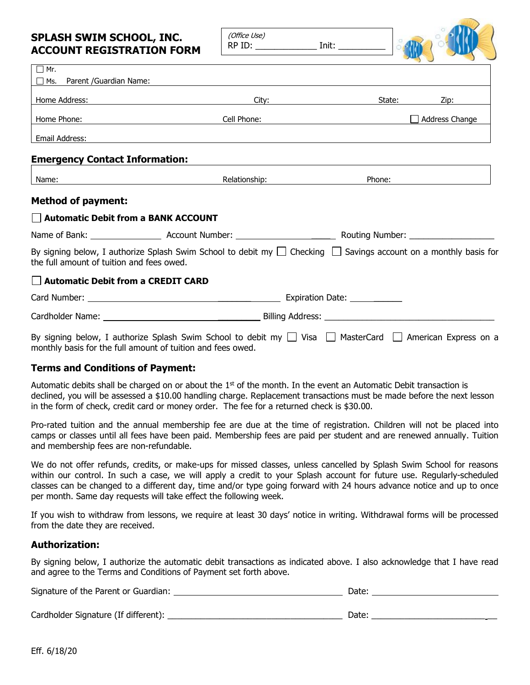(Office Use) RP ID: \_\_\_\_\_\_\_\_\_\_\_\_\_ Init: \_\_\_\_\_\_\_\_\_\_



| $\Box$ Mr.                                |                                                                                                                            |                                                                                                                        |                                                                                                                                                                                                                                |
|-------------------------------------------|----------------------------------------------------------------------------------------------------------------------------|------------------------------------------------------------------------------------------------------------------------|--------------------------------------------------------------------------------------------------------------------------------------------------------------------------------------------------------------------------------|
| $\Box$ Ms. Parent / Guardian Name:        |                                                                                                                            |                                                                                                                        |                                                                                                                                                                                                                                |
| Home Address:                             |                                                                                                                            |                                                                                                                        | State: with the state of the state of the state of the state of the state of the state of the state of the state of the state of the state of the state of the state of the state of the state of the state of the state of th |
| Home Phone:                               | Cell Phone:<br><u> 1980 - Johann Barbara, martin a</u>                                                                     | <u> 1980 - Johann John Stein, mars et al. 1990 - John Stein, mars et al. 1990 - John Stein, mars et al. 1990 - Joh</u> | Address Change                                                                                                                                                                                                                 |
|                                           | Email Address: No. 2014 19:30 Address: No. 2014 19:30 Address: No. 2014 19:30 Address: No. 2014 19:30 Address              |                                                                                                                        |                                                                                                                                                                                                                                |
| <b>Emergency Contact Information:</b>     |                                                                                                                            |                                                                                                                        |                                                                                                                                                                                                                                |
|                                           | Relationship:                                                                                                              | Phone:                                                                                                                 |                                                                                                                                                                                                                                |
| <b>Method of payment:</b>                 |                                                                                                                            |                                                                                                                        |                                                                                                                                                                                                                                |
| Automatic Debit from a BANK ACCOUNT       |                                                                                                                            |                                                                                                                        |                                                                                                                                                                                                                                |
|                                           |                                                                                                                            |                                                                                                                        |                                                                                                                                                                                                                                |
| the full amount of tuition and fees owed. | By signing below, I authorize Splash Swim School to debit my $\Box$ Checking $\Box$ Savings account on a monthly basis for |                                                                                                                        |                                                                                                                                                                                                                                |
| Automatic Debit from a CREDIT CARD        |                                                                                                                            |                                                                                                                        |                                                                                                                                                                                                                                |
|                                           |                                                                                                                            |                                                                                                                        |                                                                                                                                                                                                                                |
|                                           |                                                                                                                            |                                                                                                                        |                                                                                                                                                                                                                                |
|                                           | By signing below. I authorize Splash Swim School to debit my     Visa     MasterCard     American Express on a             |                                                                                                                        |                                                                                                                                                                                                                                |

ish Swim School to debit my  $\Box$  Visa  $\Box$  MasterCard  $\Box$  American Express on a monthly basis for the full amount of tuition and fees owed.

## **Terms and Conditions of Payment:**

Automatic debits shall be charged on or about the 1<sup>st</sup> of the month. In the event an Automatic Debit transaction is declined, you will be assessed a \$10.00 handling charge. Replacement transactions must be made before the next lesson in the form of check, credit card or money order. The fee for a returned check is \$30.00.

Pro-rated tuition and the annual membership fee are due at the time of registration. Children will not be placed into camps or classes until all fees have been paid. Membership fees are paid per student and are renewed annually. Tuition and membership fees are non-refundable.

We do not offer refunds, credits, or make-ups for missed classes, unless cancelled by Splash Swim School for reasons within our control. In such a case, we will apply a credit to your Splash account for future use. Regularly-scheduled classes can be changed to a different day, time and/or type going forward with 24 hours advance notice and up to once per month. Same day requests will take effect the following week.

If you wish to withdraw from lessons, we require at least 30 days' notice in writing. Withdrawal forms will be processed from the date they are received.

#### **Authorization:**

By signing below, I authorize the automatic debit transactions as indicated above. I also acknowledge that I have read and agree to the Terms and Conditions of Payment set forth above.

| Signature of the Parent or Guardian: | Date |
|--------------------------------------|------|
|                                      |      |
| Cardholder Signature (If different): | Date |